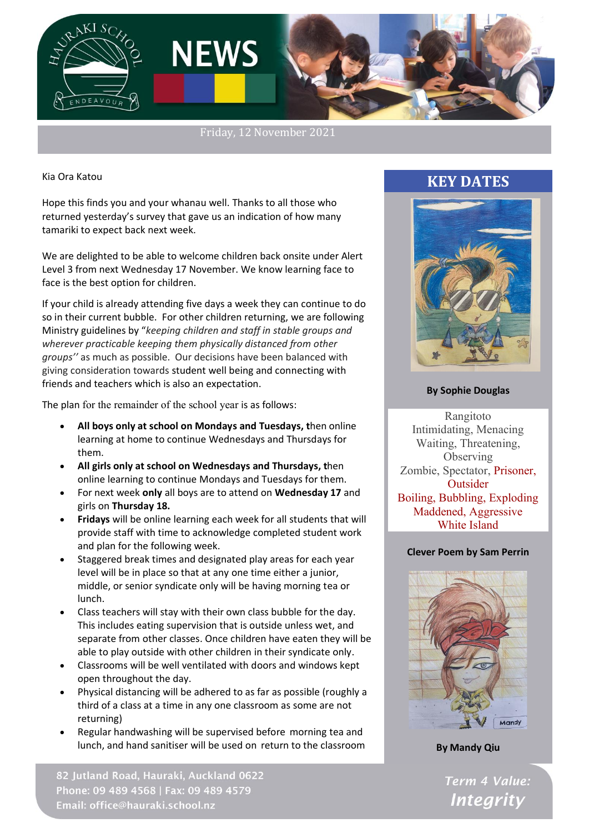

Friday, 12 November 2021

Kia Ora Katou

Hope this finds you and your whanau well. Thanks to all those who returned yesterday's survey that gave us an indication of how many tamariki to expect back next week.

We are delighted to be able to welcome children back onsite under Alert Level 3 from next Wednesday 17 November. We know learning face to face is the best option for children.

If your child is already attending five days a week they can continue to do so in their current bubble. For other children returning, we are following Ministry guidelines by "*keeping children and staff in stable groups and wherever practicable keeping them physically distanced from other groups''* as much as possible. Our decisions have been balanced with giving consideration towards student well being and connecting with friends and teachers which is also an expectation.

The plan for the remainder of the school year is as follows:

- **All boys only at school on Mondays and Tuesdays, t**hen online learning at home to continue Wednesdays and Thursdays for them.
- **All girls only at school on Wednesdays and Thursdays, t**hen online learning to continue Mondays and Tuesdays for them.
- For next week **only** all boys are to attend on **Wednesday 17** and girls on **Thursday 18.**
- **Fridays** will be online learning each week for all students that will provide staff with time to acknowledge completed student work and plan for the following week.
- Staggered break times and designated play areas for each year level will be in place so that at any one time either a junior, middle, or senior syndicate only will be having morning tea or lunch.
- Class teachers will stay with their own class bubble for the day. This includes eating supervision that is outside unless wet, and separate from other classes. Once children have eaten they will be able to play outside with other children in their syndicate only.
- Classrooms will be well ventilated with doors and windows kept open throughout the day.
- Physical distancing will be adhered to as far as possible (roughly a third of a class at a time in any one classroom as some are not returning)
- Regular handwashing will be supervised before morning tea and lunch, and hand sanitiser will be used on return to the classroom

82 Jutland Road, Hauraki, Auckland 0622 Phone: 09 489 4568 | Fax: 09 489 4579 Email: office@hauraki.school.nz

# **KEY DATES**



#### **By Sophie Douglas**

Rangitoto Intimidating, Menacing Waiting, Threatening, **Observing** Zombie, Spectator, Prisoner, **Outsider** Boiling, Bubbling, Exploding Maddened, Aggressive White Island

#### **Clever Poem by Sam Perrin**



**By Mandy Qiu**

Term 4 Value: **Integrity**